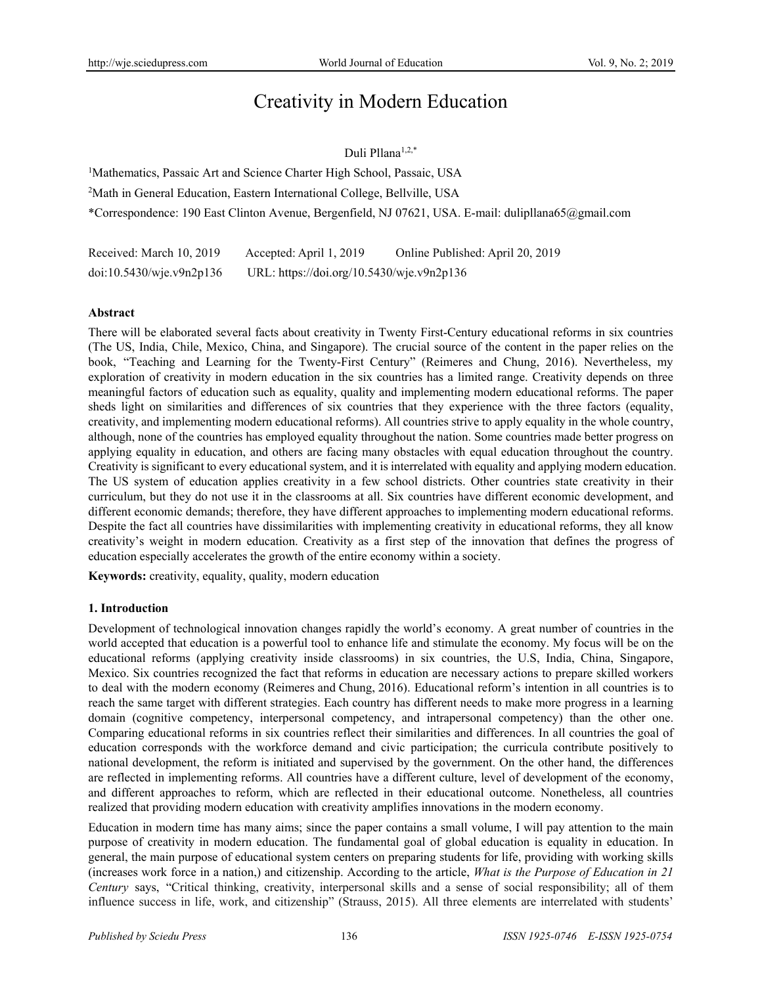# Creativity in Modern Education

## Duli Pllana<sup>1,2,\*</sup>

<sup>1</sup>Mathematics, Passaic Art and Science Charter High School, Passaic, USA <sup>2</sup>Math in General Education, Eastern International College, Bellville, USA \*Correspondence: 190 East Clinton Avenue, Bergenfield, NJ 07621, USA. E-mail: dulipllana65@gmail.com

| Received: March 10, 2019 | Accepted: April 1, 2019                   | Online Published: April 20, 2019 |
|--------------------------|-------------------------------------------|----------------------------------|
| doi:10.5430/wje.v9n2p136 | URL: https://doi.org/10.5430/wje.v9n2p136 |                                  |

### **Abstract**

There will be elaborated several facts about creativity in Twenty First-Century educational reforms in six countries (The US, India, Chile, Mexico, China, and Singapore). The crucial source of the content in the paper relies on the book, "Teaching and Learning for the Twenty-First Century" (Reimeres and Chung, 2016). Nevertheless, my exploration of creativity in modern education in the six countries has a limited range. Creativity depends on three meaningful factors of education such as equality, quality and implementing modern educational reforms. The paper sheds light on similarities and differences of six countries that they experience with the three factors (equality, creativity, and implementing modern educational reforms). All countries strive to apply equality in the whole country, although, none of the countries has employed equality throughout the nation. Some countries made better progress on applying equality in education, and others are facing many obstacles with equal education throughout the country. Creativity is significant to every educational system, and it is interrelated with equality and applying modern education. The US system of education applies creativity in a few school districts. Other countries state creativity in their curriculum, but they do not use it in the classrooms at all. Six countries have different economic development, and different economic demands; therefore, they have different approaches to implementing modern educational reforms. Despite the fact all countries have dissimilarities with implementing creativity in educational reforms, they all know creativity's weight in modern education. Creativity as a first step of the innovation that defines the progress of education especially accelerates the growth of the entire economy within a society.

**Keywords:** creativity, equality, quality, modern education

### **1. Introduction**

Development of technological innovation changes rapidly the world's economy. A great number of countries in the world accepted that education is a powerful tool to enhance life and stimulate the economy. My focus will be on the educational reforms (applying creativity inside classrooms) in six countries, the U.S, India, China, Singapore, Mexico. Six countries recognized the fact that reforms in education are necessary actions to prepare skilled workers to deal with the modern economy (Reimeres and Chung, 2016). Educational reform's intention in all countries is to reach the same target with different strategies. Each country has different needs to make more progress in a learning domain (cognitive competency, interpersonal competency, and intrapersonal competency) than the other one. Comparing educational reforms in six countries reflect their similarities and differences. In all countries the goal of education corresponds with the workforce demand and civic participation; the curricula contribute positively to national development, the reform is initiated and supervised by the government. On the other hand, the differences are reflected in implementing reforms. All countries have a different culture, level of development of the economy, and different approaches to reform, which are reflected in their educational outcome. Nonetheless, all countries realized that providing modern education with creativity amplifies innovations in the modern economy.

Education in modern time has many aims; since the paper contains a small volume, I will pay attention to the main purpose of creativity in modern education. The fundamental goal of global education is equality in education. In general, the main purpose of educational system centers on preparing students for life, providing with working skills (increases work force in a nation,) and citizenship. According to the article, *What is the Purpose of Education in 21 Century* says, "Critical thinking, creativity, interpersonal skills and a sense of social responsibility; all of them influence success in life, work, and citizenship" (Strauss, 2015). All three elements are interrelated with students'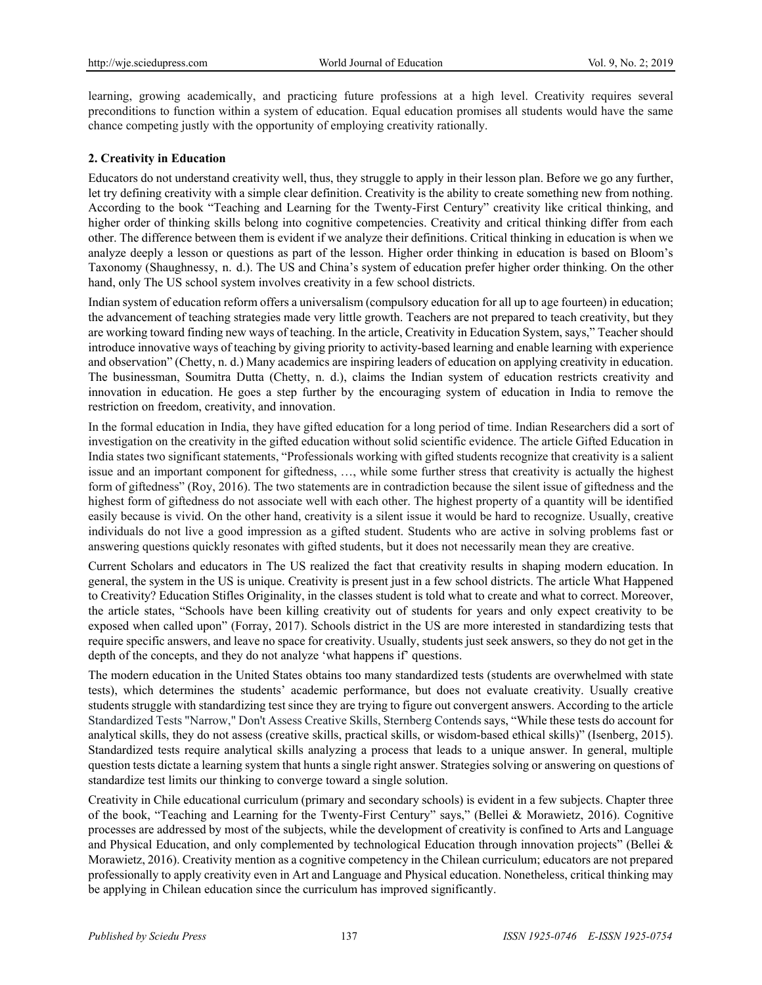learning, growing academically, and practicing future professions at a high level. Creativity requires several preconditions to function within a system of education. Equal education promises all students would have the same chance competing justly with the opportunity of employing creativity rationally.

## **2. Creativity in Education**

Educators do not understand creativity well, thus, they struggle to apply in their lesson plan. Before we go any further, let try defining creativity with a simple clear definition. Creativity is the ability to create something new from nothing. According to the book "Teaching and Learning for the Twenty-First Century" creativity like critical thinking, and higher order of thinking skills belong into cognitive competencies. Creativity and critical thinking differ from each other. The difference between them is evident if we analyze their definitions. Critical thinking in education is when we analyze deeply a lesson or questions as part of the lesson. Higher order thinking in education is based on Bloom's Taxonomy (Shaughnessy, n. d.). The US and China's system of education prefer higher order thinking. On the other hand, only The US school system involves creativity in a few school districts.

Indian system of education reform offers a universalism (compulsory education for all up to age fourteen) in education; the advancement of teaching strategies made very little growth. Teachers are not prepared to teach creativity, but they are working toward finding new ways of teaching. In the article, Creativity in Education System, says," Teacher should introduce innovative ways of teaching by giving priority to activity-based learning and enable learning with experience and observation" (Chetty, n. d.) Many academics are inspiring leaders of education on applying creativity in education. The businessman, Soumitra Dutta (Chetty, n. d.), claims the Indian system of education restricts creativity and innovation in education. He goes a step further by the encouraging system of education in India to remove the restriction on freedom, creativity, and innovation.

In the formal education in India, they have gifted education for a long period of time. Indian Researchers did a sort of investigation on the creativity in the gifted education without solid scientific evidence. The article Gifted Education in India states two significant statements, "Professionals working with gifted students recognize that creativity is a salient issue and an important component for giftedness, …, while some further stress that creativity is actually the highest form of giftedness" (Roy, 2016). The two statements are in contradiction because the silent issue of giftedness and the highest form of giftedness do not associate well with each other. The highest property of a quantity will be identified easily because is vivid. On the other hand, creativity is a silent issue it would be hard to recognize. Usually, creative individuals do not live a good impression as a gifted student. Students who are active in solving problems fast or answering questions quickly resonates with gifted students, but it does not necessarily mean they are creative.

Current Scholars and educators in The US realized the fact that creativity results in shaping modern education. In general, the system in the US is unique. Creativity is present just in a few school districts. The article What Happened to Creativity? Education Stifles Originality, in the classes student is told what to create and what to correct. Moreover, the article states, "Schools have been killing creativity out of students for years and only expect creativity to be exposed when called upon" (Forray, 2017). Schools district in the US are more interested in standardizing tests that require specific answers, and leave no space for creativity. Usually, students just seek answers, so they do not get in the depth of the concepts, and they do not analyze 'what happens if' questions.

The modern education in the United States obtains too many standardized tests (students are overwhelmed with state tests), which determines the students' academic performance, but does not evaluate creativity. Usually creative students struggle with standardizing test since they are trying to figure out convergent answers. According to the article Standardized Tests "Narrow," Don't Assess Creative Skills, Sternberg Contends says, "While these tests do account for analytical skills, they do not assess (creative skills, practical skills, or wisdom-based ethical skills)" (Isenberg, 2015). Standardized tests require analytical skills analyzing a process that leads to a unique answer. In general, multiple question tests dictate a learning system that hunts a single right answer. Strategies solving or answering on questions of standardize test limits our thinking to converge toward a single solution.

Creativity in Chile educational curriculum (primary and secondary schools) is evident in a few subjects. Chapter three of the book, "Teaching and Learning for the Twenty-First Century" says," (Bellei & Morawietz, 2016). Cognitive processes are addressed by most of the subjects, while the development of creativity is confined to Arts and Language and Physical Education, and only complemented by technological Education through innovation projects" (Bellei & Morawietz, 2016). Creativity mention as a cognitive competency in the Chilean curriculum; educators are not prepared professionally to apply creativity even in Art and Language and Physical education. Nonetheless, critical thinking may be applying in Chilean education since the curriculum has improved significantly.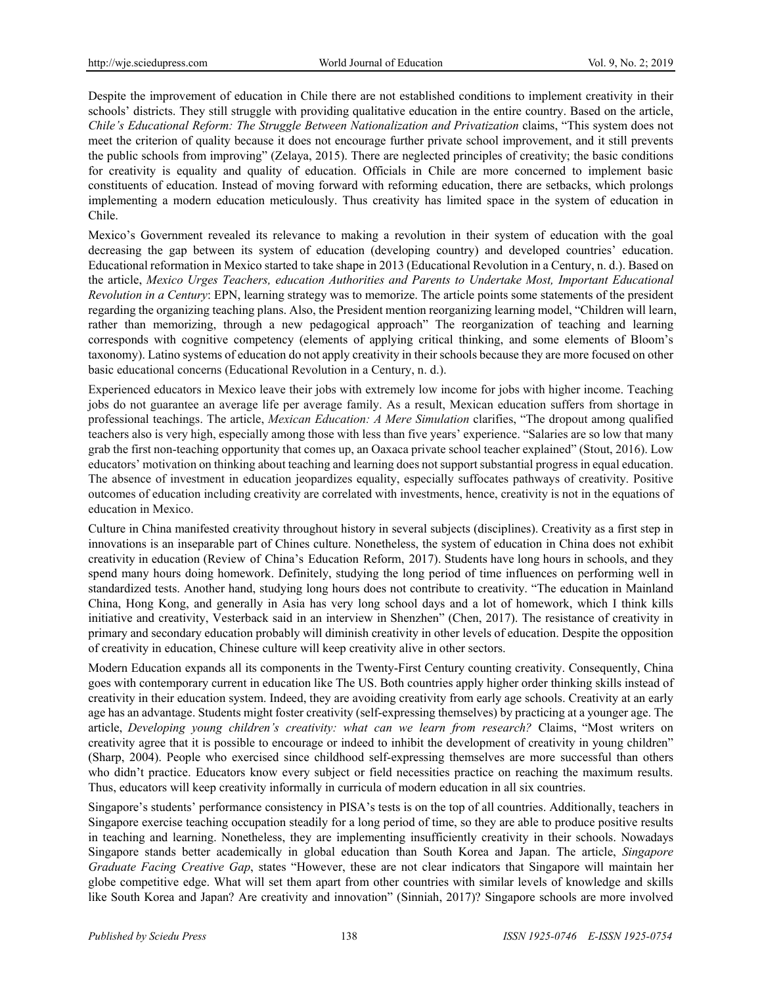Despite the improvement of education in Chile there are not established conditions to implement creativity in their schools' districts. They still struggle with providing qualitative education in the entire country. Based on the article, *Chile's Educational Reform: The Struggle Between Nationalization and Privatization* claims, "This system does not meet the criterion of quality because it does not encourage further private school improvement, and it still prevents the public schools from improving" (Zelaya, 2015). There are neglected principles of creativity; the basic conditions for creativity is equality and quality of education. Officials in Chile are more concerned to implement basic constituents of education. Instead of moving forward with reforming education, there are setbacks, which prolongs implementing a modern education meticulously. Thus creativity has limited space in the system of education in Chile.

Mexico's Government revealed its relevance to making a revolution in their system of education with the goal decreasing the gap between its system of education (developing country) and developed countries' education. Educational reformation in Mexico started to take shape in 2013 (Educational Revolution in a Century, n. d.). Based on the article, *Mexico Urges Teachers, education Authorities and Parents to Undertake Most, Important Educational Revolution in a Century*: EPN, learning strategy was to memorize. The article points some statements of the president regarding the organizing teaching plans. Also, the President mention reorganizing learning model, "Children will learn, rather than memorizing, through a new pedagogical approach" The reorganization of teaching and learning corresponds with cognitive competency (elements of applying critical thinking, and some elements of Bloom's taxonomy). Latino systems of education do not apply creativity in their schools because they are more focused on other basic educational concerns (Educational Revolution in a Century, n. d.).

Experienced educators in Mexico leave their jobs with extremely low income for jobs with higher income. Teaching jobs do not guarantee an average life per average family. As a result, Mexican education suffers from shortage in professional teachings. The article, *Mexican Education: A Mere Simulation* clarifies, "The dropout among qualified teachers also is very high, especially among those with less than five years' experience. "Salaries are so low that many grab the first non-teaching opportunity that comes up, an Oaxaca private school teacher explained" (Stout, 2016). Low educators' motivation on thinking about teaching and learning does not support substantial progress in equal education. The absence of investment in education jeopardizes equality, especially suffocates pathways of creativity. Positive outcomes of education including creativity are correlated with investments, hence, creativity is not in the equations of education in Mexico.

Culture in China manifested creativity throughout history in several subjects (disciplines). Creativity as a first step in innovations is an inseparable part of Chines culture. Nonetheless, the system of education in China does not exhibit creativity in education (Review of China's Education Reform, 2017). Students have long hours in schools, and they spend many hours doing homework. Definitely, studying the long period of time influences on performing well in standardized tests. Another hand, studying long hours does not contribute to creativity. "The education in Mainland China, Hong Kong, and generally in Asia has very long school days and a lot of homework, which I think kills initiative and creativity, Vesterback said in an interview in Shenzhen" (Chen, 2017). The resistance of creativity in primary and secondary education probably will diminish creativity in other levels of education. Despite the opposition of creativity in education, Chinese culture will keep creativity alive in other sectors.

Modern Education expands all its components in the Twenty-First Century counting creativity. Consequently, China goes with contemporary current in education like The US. Both countries apply higher order thinking skills instead of creativity in their education system. Indeed, they are avoiding creativity from early age schools. Creativity at an early age has an advantage. Students might foster creativity (self-expressing themselves) by practicing at a younger age. The article, *Developing young children's creativity: what can we learn from research?* Claims, "Most writers on creativity agree that it is possible to encourage or indeed to inhibit the development of creativity in young children" (Sharp, 2004). People who exercised since childhood self-expressing themselves are more successful than others who didn't practice. Educators know every subject or field necessities practice on reaching the maximum results. Thus, educators will keep creativity informally in curricula of modern education in all six countries.

Singapore's students' performance consistency in PISA's tests is on the top of all countries. Additionally, teachers in Singapore exercise teaching occupation steadily for a long period of time, so they are able to produce positive results in teaching and learning. Nonetheless, they are implementing insufficiently creativity in their schools. Nowadays Singapore stands better academically in global education than South Korea and Japan. The article, *Singapore Graduate Facing Creative Gap*, states "However, these are not clear indicators that Singapore will maintain her globe competitive edge. What will set them apart from other countries with similar levels of knowledge and skills like South Korea and Japan? Are creativity and innovation" (Sinniah, 2017)? Singapore schools are more involved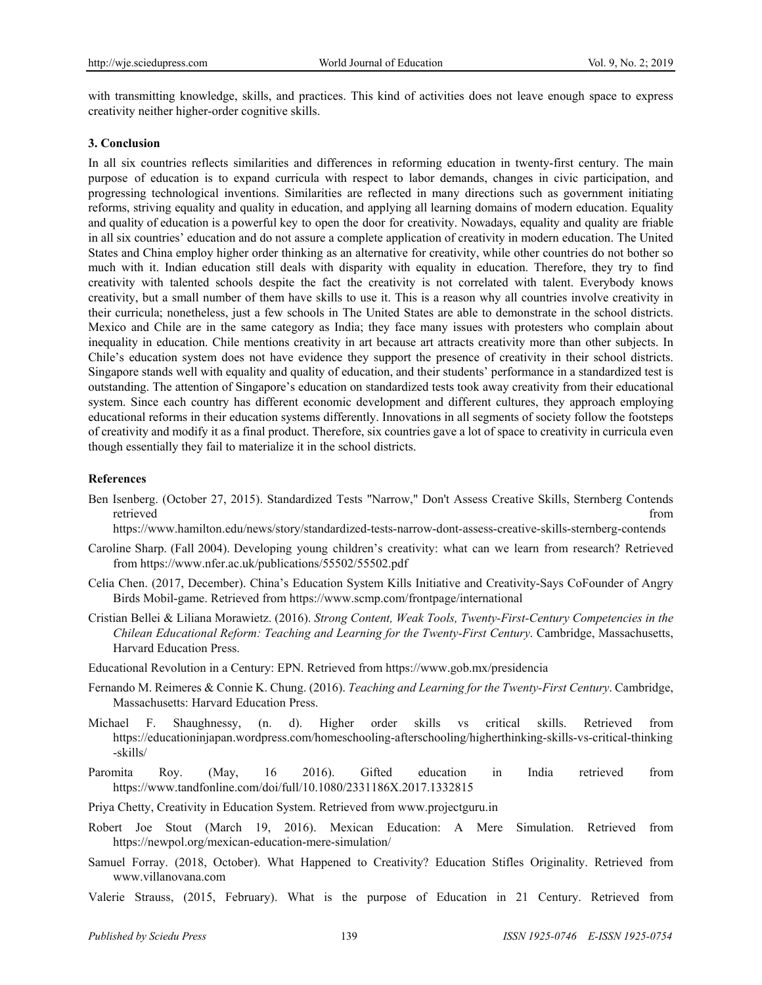with transmitting knowledge, skills, and practices. This kind of activities does not leave enough space to express creativity neither higher-order cognitive skills.

#### **3. Conclusion**

In all six countries reflects similarities and differences in reforming education in twenty-first century. The main purpose of education is to expand curricula with respect to labor demands, changes in civic participation, and progressing technological inventions. Similarities are reflected in many directions such as government initiating reforms, striving equality and quality in education, and applying all learning domains of modern education. Equality and quality of education is a powerful key to open the door for creativity. Nowadays, equality and quality are friable in all six countries' education and do not assure a complete application of creativity in modern education. The United States and China employ higher order thinking as an alternative for creativity, while other countries do not bother so much with it. Indian education still deals with disparity with equality in education. Therefore, they try to find creativity with talented schools despite the fact the creativity is not correlated with talent. Everybody knows creativity, but a small number of them have skills to use it. This is a reason why all countries involve creativity in their curricula; nonetheless, just a few schools in The United States are able to demonstrate in the school districts. Mexico and Chile are in the same category as India; they face many issues with protesters who complain about inequality in education. Chile mentions creativity in art because art attracts creativity more than other subjects. In Chile's education system does not have evidence they support the presence of creativity in their school districts. Singapore stands well with equality and quality of education, and their students' performance in a standardized test is outstanding. The attention of Singapore's education on standardized tests took away creativity from their educational system. Since each country has different economic development and different cultures, they approach employing educational reforms in their education systems differently. Innovations in all segments of society follow the footsteps of creativity and modify it as a final product. Therefore, six countries gave a lot of space to creativity in curricula even though essentially they fail to materialize it in the school districts.

#### **References**

Ben Isenberg. (October 27, 2015). Standardized Tests "Narrow," Don't Assess Creative Skills, Sternberg Contends retrieved from  $\blacksquare$ 

https://www.hamilton.edu/news/story/standardized-tests-narrow-dont-assess-creative-skills-sternberg-contends

- Caroline Sharp. (Fall 2004). Developing young children's creativity: what can we learn from research? Retrieved from https://www.nfer.ac.uk/publications/55502/55502.pdf
- Celia Chen. (2017, December). China's Education System Kills Initiative and Creativity-Says CoFounder of Angry Birds Mobil-game. Retrieved from https://www.scmp.com/frontpage/international
- Cristian Bellei & Liliana Morawietz. (2016). *Strong Content, Weak Tools, Twenty-First-Century Competencies in the Chilean Educational Reform: Teaching and Learning for the Twenty-First Century*. Cambridge, Massachusetts, Harvard Education Press.
- Educational Revolution in a Century: EPN. Retrieved from https://www.gob.mx/presidencia
- Fernando M. Reimeres & Connie K. Chung. (2016). *Teaching and Learning for the Twenty-First Century*. Cambridge, Massachusetts: Harvard Education Press.
- Michael F. Shaughnessy, (n. d). Higher order skills vs critical skills. Retrieved from https://educationinjapan.wordpress.com/homeschooling-afterschooling/higherthinking-skills-vs-critical-thinking -skills/
- Paromita Roy. (May, 16 2016). Gifted education in India retrieved from https://www.tandfonline.com/doi/full/10.1080/2331186X.2017.1332815
- Priya Chetty, Creativity in Education System. Retrieved from www.projectguru.in
- Robert Joe Stout (March 19, 2016). Mexican Education: A Mere Simulation. Retrieved from https://newpol.org/mexican-education-mere-simulation/
- Samuel Forray. (2018, October). What Happened to Creativity? Education Stifles Originality. Retrieved from www.villanovana.com
- Valerie Strauss, (2015, February). What is the purpose of Education in 21 Century. Retrieved from